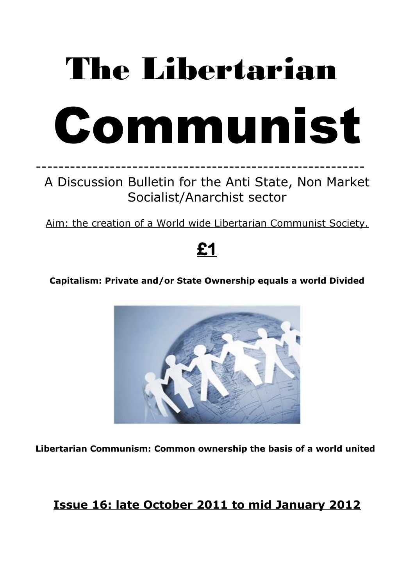# The Libertarian



# ---------------------------------------------------------- A Discussion Bulletin for the Anti State, Non Market Socialist/Anarchist sector

Aim: the creation of a World wide Libertarian Communist Society.

# **£1**

### **Capitalism: Private and/or State Ownership equals a world Divided**



**Libertarian Communism: Common ownership the basis of a world united**

## **Issue 16: late October 2011 to mid January 2012**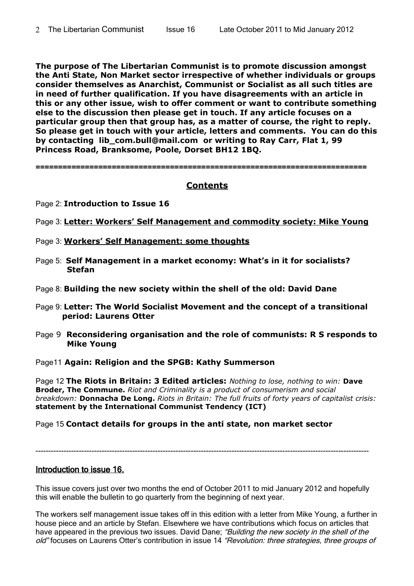**The purpose of The Libertarian Communist is to promote discussion amongst the Anti State, Non Market sector irrespective of whether individuals or groups consider themselves as Anarchist, Communist or Socialist as all such titles are in need of further qualification. If you have disagreements with an article in this or any other issue, wish to offer comment or want to contribute something else to the discussion then please get in touch. If any article focuses on a particular group then that group has, as a matter of course, the right to reply. So please get in touch with your article, letters and comments. You can do this by contacting lib\_com.bull@mail.com or writing to Ray Carr, Flat 1, 99 Princess Road, Branksome, Poole, Dorset BH12 1BQ.**

==========================================================================

#### **Contents**

- Page 2: **Introduction to Issue 16**
- Page 3: **Letter: Workers' Self Management and commodity society: Mike Young**
- Page 3: **Workers' Self Management: some thoughts**
- Page 5: **Self Management in a market economy: What's in it for socialists? Stefan**
- Page 8: **Building the new society within the shell of the old: David Dane**
- Page 9: **Letter: The World Socialist Movement and the concept of a transitional period: Laurens Otter**
- Page 9 **Reconsidering organisation and the role of communists: R S responds to Mike Young**
- Page11 **Again: Religion and the SPGB: Kathy Summerson**

Page 12 **The Riots in Britain: 3 Edited articles:** *Nothing to lose, nothing to win:* **Dave Broder, The Commune.** *Riot and Criminality is a product of consumerism and social breakdown:* **Donnacha De Long.** *Riots in Britain: The full fruits of forty years of capitalist crisis:* **statement by the International Communist Tendency (ICT)**

Page 15 **Contact details for groups in the anti state, non market sector**

-----------------------------------------------------------------------------------------------------------------------------------

#### Introduction to issue 16.

This issue covers just over two months the end of October 2011 to mid January 2012 and hopefully this will enable the bulletin to go quarterly from the beginning of next year.

The workers self management issue takes off in this edition with a letter from Mike Young, a further in house piece and an article by Stefan. Elsewhere we have contributions which focus on articles that have appeared in the previous two issues. David Dane; "Building the new society in the shell of the old" focuses on Laurens Otter's contribution in issue 14 "Revolution: three strategies, three groups of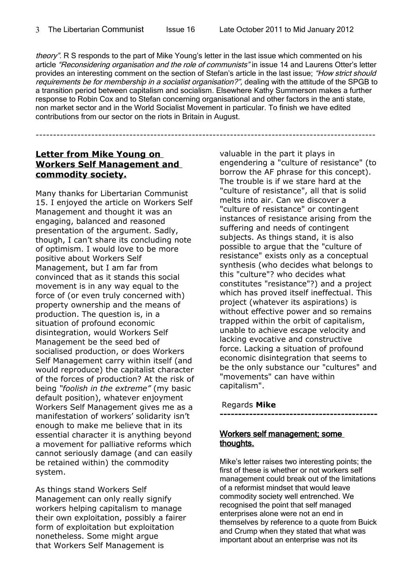theory". R S responds to the part of Mike Young's letter in the last issue which commented on his article "Reconsidering organisation and the role of communists" in issue 14 and Laurens Otter's letter provides an interesting comment on the section of Stefan's article in the last issue: "How strict should requirements be for membership in a socialist organisation?", dealing with the attitude of the SPGB to a transition period between capitalism and socialism. Elsewhere Kathy Summerson makes a further response to Robin Cox and to Stefan concerning organisational and other factors in the anti state, non market sector and in the World Socialist Movement in particular. To finish we have edited contributions from our sector on the riots in Britain in August.

#### **Letter from Mike Young on Workers Self Management and commodity society.**

--------------------------------------------------------------------------------------------------

Many thanks for Libertarian Communist 15. I enjoyed the article on Workers Self Management and thought it was an engaging, balanced and reasoned presentation of the argument. Sadly, though, I can't share its concluding note of optimism. I would love to be more positive about Workers Self Management, but I am far from convinced that as it stands this social movement is in any way equal to the force of (or even truly concerned with) property ownership and the means of production. The question is, in a situation of profound economic disintegration, would Workers Self Management be the seed bed of socialised production, or does Workers Self Management carry within itself (and would reproduce) the capitalist character of the forces of production? At the risk of being *"foolish in the extreme"* (my basic default position), whatever enjoyment Workers Self Management gives me as a manifestation of workers' solidarity isn't enough to make me believe that in its essential character it is anything beyond a movement for palliative reforms which cannot seriously damage (and can easily be retained within) the commodity system.

As things stand Workers Self Management can only really signify workers helping capitalism to manage their own exploitation, possibly a fairer form of exploitation but exploitation nonetheless. Some might argue that Workers Self Management is

valuable in the part it plays in engendering a "culture of resistance" (to borrow the AF phrase for this concept). The trouble is if we stare hard at the "culture of resistance", all that is solid melts into air. Can we discover a "culture of resistance" or contingent instances of resistance arising from the suffering and needs of contingent subjects. As things stand, it is also possible to argue that the "culture of resistance" exists only as a conceptual synthesis (who decides what belongs to this "culture"? who decides what constitutes "resistance"?) and a project which has proved itself ineffectual. This project (whatever its aspirations) is without effective power and so remains trapped within the orbit of capitalism, unable to achieve escape velocity and lacking evocative and constructive force. Lacking a situation of profound economic disintegration that seems to be the only substance our "cultures" and "movements" can have within capitalism".

#### Regards **Mike**

**-------------------------------------------**

#### Workers self management; some thoughts.

Mike's letter raises two interesting points; the first of these is whether or not workers self management could break out of the limitations of a reformist mindset that would leave commodity society well entrenched. We recognised the point that self managed enterprises alone were not an end in themselves by reference to a quote from Buick and Crump when they stated that what was important about an enterprise was not its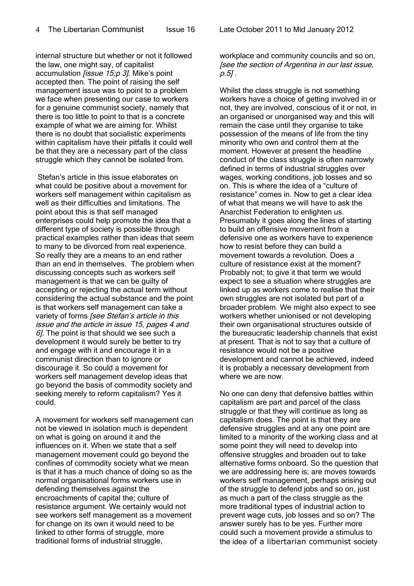internal structure but whether or not it followed the law, one might say, of capitalist accumulation *lissue* 15:p 3*l*. Mike's point accepted then. The point of raising the self management issue was to point to a problem we face when presenting our case to workers for a genuine communist society, namely that there is too little to point to that is a concrete example of what we are aiming for. Whilst there is no doubt that socialistic experiments within capitalism have their pitfalls it could well be that they are a necessary part of the class struggle which they cannot be isolated from.

 Stefan's article in this issue elaborates on what could be positive about a movement for workers self management within capitalism as well as their difficulties and limitations. The point about this is that self managed enterprises could help promote the idea that a different type of society is possible through practical examples rather than ideas that seem to many to be divorced from real experience. So really they are a means to an end rather than an end in themselves. The problem when discussing concepts such as workers self management is that we can be guilty of accepting or rejecting the actual term without considering the actual substance and the point is that workers self management can take a variety of forms [see Stefan's article in this issue and the article in issue 15, pages 4 and  $6$ ]. The point is that should we see such a development it would surely be better to try and engage with it and encourage it in a communist direction than to ignore or discourage it. So could a movement for workers self management develop ideas that go beyond the basis of commodity society and seeking merely to reform capitalism? Yes it could.

A movement for workers self management can not be viewed in isolation much is dependent on what is going on around it and the influences on it. When we state that a self management movement could go beyond the confines of commodity society what we mean is that it has a much chance of doing so as the normal organisational forms workers use in defending themselves against the encroachments of capital the; culture of resistance argument. We certainly would not see workers self management as a movement for change on its own it would need to be linked to other forms of struggle, more traditional forms of industrial struggle,

workplace and community councils and so on, [see the section of Argentina in our last issue, p.5] .

Whilst the class struggle is not something workers have a choice of getting involved in or not, they are involved, conscious of it or not, in an organised or unorganised way and this will remain the case until they organise to take possession of the means of life from the tiny minority who own and control them at the moment. However at present the headline conduct of the class struggle is often narrowly defined in terms of industrial struggles over wages, working conditions, job losses and so on. This is where the idea of a "culture of resistance" comes in. Now to get a clear idea of what that means we will have to ask the Anarchist Federation to enlighten us. Presumably it goes along the lines of starting to build an offensive movement from a defensive one as workers have to experience how to resist before they can build a movement towards a revolution. Does a culture of resistance exist at the moment? Probably not; to give it that term we would expect to see a situation where struggles are linked up as workers come to realise that their own struggles are not isolated but part of a broader problem. We might also expect to see workers whether unionised or not developing their own organisational structures outside of the bureaucratic leadership channels that exist at present. That is not to say that a culture of resistance would not be a positive development and cannot be achieved, indeed it is probably a necessary development from where we are now.

No one can deny that defensive battles within capitalism are part and parcel of the class struggle or that they will continue as long as capitalism does. The point is that they are defensive struggles and at any one point are limited to a minority of the working class and at some point they will need to develop into offensive struggles and broaden out to take alternative forms onboard. So the question that we are addressing here is; are moves towards workers self management, perhaps arising out of the struggle to defend jobs and so on, just as much a part of the class struggle as the more traditional types of industrial action to prevent wage cuts, job losses and so on? The answer surely has to be yes. Further more could such a movement provide a stimulus to the idea of a libertarian communist society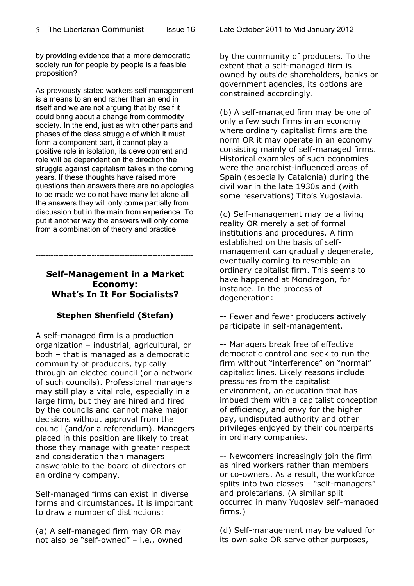by providing evidence that a more democratic society run for people by people is a feasible proposition?

As previously stated workers self management is a means to an end rather than an end in itself and we are not arguing that by itself it could bring about a change from commodity society. In the end, just as with other parts and phases of the class struggle of which it must form a component part, it cannot play a positive role in isolation, its development and role will be dependent on the direction the struggle against capitalism takes in the coming years. If these thoughts have raised more questions than answers there are no apologies to be made we do not have many let alone all the answers they will only come partially from discussion but in the main from experience. To put it another way the answers will only come from a combination of theory and practice.

#### **Self-Management in a Market Economy: What's In It For Socialists?**

--------------------------------------------------------------

#### **Stephen Shenfield (Stefan)**

A self-managed firm is a production organization – industrial, agricultural, or both – that is managed as a democratic community of producers, typically through an elected council (or a network of such councils). Professional managers may still play a vital role, especially in a large firm, but they are hired and fired by the councils and cannot make major decisions without approval from the council (and/or a referendum). Managers placed in this position are likely to treat those they manage with greater respect and consideration than managers answerable to the board of directors of an ordinary company.

Self-managed firms can exist in diverse forms and circumstances. It is important to draw a number of distinctions:

(a) A self-managed firm may OR may not also be "self-owned" – i.e., owned by the community of producers. To the extent that a self-managed firm is owned by outside shareholders, banks or government agencies, its options are constrained accordingly.

(b) A self-managed firm may be one of only a few such firms in an economy where ordinary capitalist firms are the norm OR it may operate in an economy consisting mainly of self-managed firms. Historical examples of such economies were the anarchist-influenced areas of Spain (especially Catalonia) during the civil war in the late 1930s and (with some reservations) Tito's Yugoslavia.

(c) Self-management may be a living reality OR merely a set of formal institutions and procedures. A firm established on the basis of selfmanagement can gradually degenerate, eventually coming to resemble an ordinary capitalist firm. This seems to have happened at Mondragon, for instance. In the process of degeneration:

-- Fewer and fewer producers actively participate in self-management.

-- Managers break free of effective democratic control and seek to run the firm without "interference" on "normal" capitalist lines. Likely reasons include pressures from the capitalist environment, an education that has imbued them with a capitalist conception of efficiency, and envy for the higher pay, undisputed authority and other privileges enjoyed by their counterparts in ordinary companies.

-- Newcomers increasingly join the firm as hired workers rather than members or co-owners. As a result, the workforce splits into two classes - "self-managers" and proletarians. (A similar split occurred in many Yugoslav self-managed firms.)

(d) Self-management may be valued for its own sake OR serve other purposes,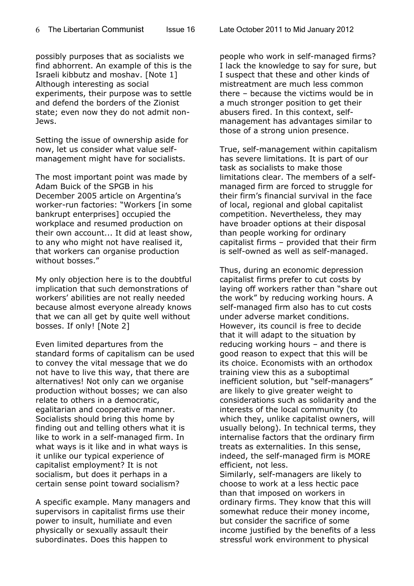possibly purposes that as socialists we find abhorrent. An example of this is the Israeli kibbutz and moshav. [Note 1] Although interesting as social experiments, their purpose was to settle and defend the borders of the Zionist state; even now they do not admit non-Jews.

Setting the issue of ownership aside for now, let us consider what value selfmanagement might have for socialists.

The most important point was made by Adam Buick of the SPGB in his December 2005 article on Argentina's worker-run factories: "Workers [in some bankrupt enterprises] occupied the workplace and resumed production on their own account... It did at least show, to any who might not have realised it, that workers can organise production without bosses."

My only objection here is to the doubtful implication that such demonstrations of workers' abilities are not really needed because almost everyone already knows that we can all get by quite well without bosses. If only! [Note 2]

Even limited departures from the standard forms of capitalism can be used to convey the vital message that we do not have to live this way, that there are alternatives! Not only can we organise production without bosses; we can also relate to others in a democratic, egalitarian and cooperative manner. Socialists should bring this home by finding out and telling others what it is like to work in a self-managed firm. In what ways is it like and in what ways is it unlike our typical experience of capitalist employment? It is not socialism, but does it perhaps in a certain sense point toward socialism?

A specific example. Many managers and supervisors in capitalist firms use their power to insult, humiliate and even physically or sexually assault their subordinates. Does this happen to

people who work in self-managed firms? I lack the knowledge to say for sure, but I suspect that these and other kinds of mistreatment are much less common there – because the victims would be in a much stronger position to get their abusers fired. In this context, selfmanagement has advantages similar to those of a strong union presence.

True, self-management within capitalism has severe limitations. It is part of our task as socialists to make those limitations clear. The members of a selfmanaged firm are forced to struggle for their firm's financial survival in the face of local, regional and global capitalist competition. Nevertheless, they may have broader options at their disposal than people working for ordinary capitalist firms – provided that their firm is self-owned as well as self-managed.

Thus, during an economic depression capitalist firms prefer to cut costs by laying off workers rather than "share out the work" by reducing working hours. A self-managed firm also has to cut costs under adverse market conditions. However, its council is free to decide that it will adapt to the situation by reducing working hours – and there is good reason to expect that this will be its choice. Economists with an orthodox training view this as a suboptimal inefficient solution, but "self-managers" are likely to give greater weight to considerations such as solidarity and the interests of the local community (to which they, unlike capitalist owners, will usually belong). In technical terms, they internalise factors that the ordinary firm treats as externalities. In this sense, indeed, the self-managed firm is MORE efficient, not less.

Similarly, self-managers are likely to choose to work at a less hectic pace than that imposed on workers in ordinary firms. They know that this will somewhat reduce their money income, but consider the sacrifice of some income justified by the benefits of a less stressful work environment to physical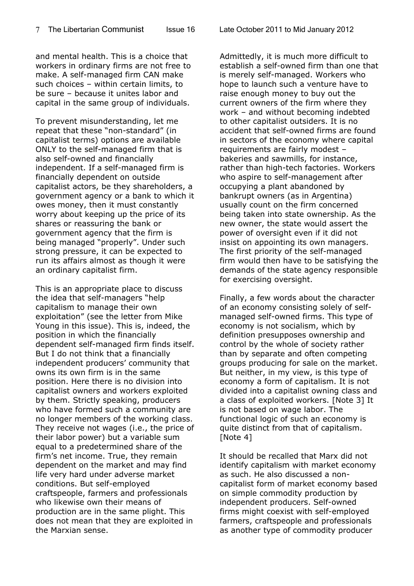and mental health. This is a choice that workers in ordinary firms are not free to make. A self-managed firm CAN make such choices – within certain limits, to be sure – because it unites labor and capital in the same group of individuals.

To prevent misunderstanding, let me repeat that these "non-standard" (in capitalist terms) options are available ONLY to the self-managed firm that is also self-owned and financially independent. If a self-managed firm is financially dependent on outside capitalist actors, be they shareholders, a government agency or a bank to which it owes money, then it must constantly worry about keeping up the price of its shares or reassuring the bank or government agency that the firm is being managed "properly". Under such strong pressure, it can be expected to run its affairs almost as though it were an ordinary capitalist firm.

This is an appropriate place to discuss the idea that self-managers "help capitalism to manage their own exploitation" (see the letter from Mike Young in this issue). This is, indeed, the position in which the financially dependent self-managed firm finds itself. But I do not think that a financially independent producers' community that owns its own firm is in the same position. Here there is no division into capitalist owners and workers exploited by them. Strictly speaking, producers who have formed such a community are no longer members of the working class. They receive not wages (i.e., the price of their labor power) but a variable sum equal to a predetermined share of the firm's net income. True, they remain dependent on the market and may find life very hard under adverse market conditions. But self-employed craftspeople, farmers and professionals who likewise own their means of production are in the same plight. This does not mean that they are exploited in the Marxian sense.

Admittedly, it is much more difficult to establish a self-owned firm than one that is merely self-managed. Workers who hope to launch such a venture have to raise enough money to buy out the current owners of the firm where they work – and without becoming indebted to other capitalist outsiders. It is no accident that self-owned firms are found in sectors of the economy where capital requirements are fairly modest – bakeries and sawmills, for instance, rather than high-tech factories. Workers who aspire to self-management after occupying a plant abandoned by bankrupt owners (as in Argentina) usually count on the firm concerned being taken into state ownership. As the new owner, the state would assert the power of oversight even if it did not insist on appointing its own managers. The first priority of the self-managed firm would then have to be satisfying the demands of the state agency responsible for exercising oversight.

Finally, a few words about the character of an economy consisting solely of selfmanaged self-owned firms. This type of economy is not socialism, which by definition presupposes ownership and control by the whole of society rather than by separate and often competing groups producing for sale on the market. But neither, in my view, is this type of economy a form of capitalism. It is not divided into a capitalist owning class and a class of exploited workers. [Note 3] It is not based on wage labor. The functional logic of such an economy is quite distinct from that of capitalism. [Note 4]

It should be recalled that Marx did not identify capitalism with market economy as such. He also discussed a noncapitalist form of market economy based on simple commodity production by independent producers. Self-owned firms might coexist with self-employed farmers, craftspeople and professionals as another type of commodity producer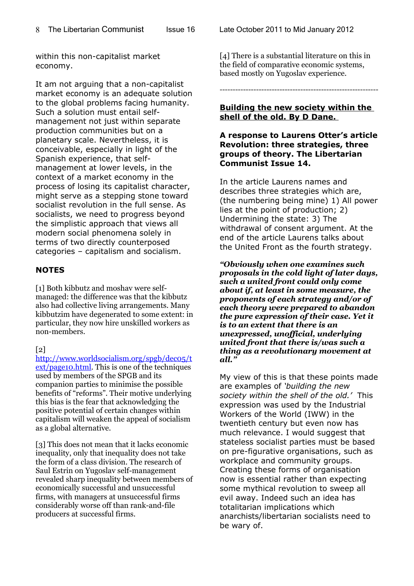within this non-capitalist market economy.

It am not arguing that a non-capitalist market economy is an adequate solution to the global problems facing humanity. Such a solution must entail selfmanagement not just within separate production communities but on a planetary scale. Nevertheless, it is conceivable, especially in light of the Spanish experience, that selfmanagement at lower levels, in the context of a market economy in the process of losing its capitalist character, might serve as a stepping stone toward socialist revolution in the full sense. As socialists, we need to progress beyond the simplistic approach that views all modern social phenomena solely in terms of two directly counterposed categories – capitalism and socialism.

#### **NOTES**

[1] Both kibbutz and moshav were selfmanaged: the difference was that the kibbutz also had collective living arrangements. Many kibbutzim have degenerated to some extent: in particular, they now hire unskilled workers as non-members.

#### $\lceil 2 \rceil$

[http://www.worldsocialism.org/spgb/dec05/t](http://www.worldsocialism.org/spgb/dec05/text/page10.html) [ext/page10.html.](http://www.worldsocialism.org/spgb/dec05/text/page10.html) This is one of the techniques used by members of the SPGB and its companion parties to minimise the possible benefits of "reforms". Their motive underlying this bias is the fear that acknowledging the positive potential of certain changes within capitalism will weaken the appeal of socialism as a global alternative.

[3] This does not mean that it lacks economic inequality, only that inequality does not take the form of a class division. The research of Saul Estrin on Yugoslav self-management revealed sharp inequality between members of economically successful and unsuccessful firms, with managers at unsuccessful firms considerably worse off than rank-and-file producers at successful firms.

[4] There is a substantial literature on this in the field of comparative economic systems, based mostly on Yugoslav experience.

-------------------------------------------------------------

#### **Building the new society within the shell of the old. By D Dane.**

#### **A response to Laurens Otter's article Revolution: three strategies, three groups of theory. The Libertarian Communist Issue 14.**

In the article Laurens names and describes three strategies which are, (the numbering being mine) 1) All power lies at the point of production; 2) Undermining the state: 3) The withdrawal of consent argument. At the end of the article Laurens talks about the United Front as the fourth strategy.

*"Obviously when one examines such proposals in the cold light of later days, such a united front could only come about if, at least in some measure, the proponents of each strategy and/or of each theory were prepared to abandon the pure expression of their case. Yet it is to an extent that there is an unexpressed, unofficial, underlying united front that there is/was such a thing as a revolutionary movement at all."*

My view of this is that these points made are examples of *'building the new society within the shell of the old.'* This expression was used by the Industrial Workers of the World (IWW) in the twentieth century but even now has much relevance. I would suggest that stateless socialist parties must be based on pre-figurative organisations, such as workplace and community groups. Creating these forms of organisation now is essential rather than expecting some mythical revolution to sweep all evil away. Indeed such an idea has totalitarian implications which anarchists/libertarian socialists need to be wary of.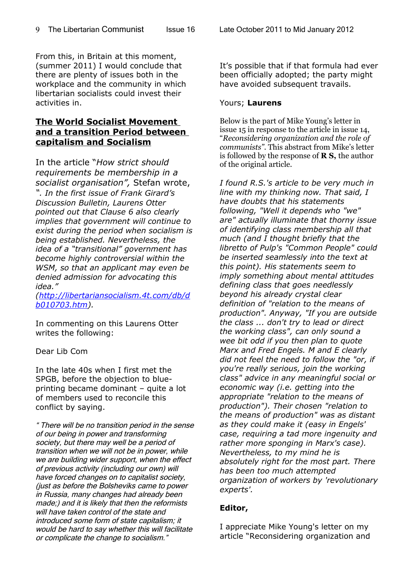From this, in Britain at this moment, (summer 2011) I would conclude that there are plenty of issues both in the workplace and the community in which libertarian socialists could invest their activities in.

#### **The World Socialist Movement and a transition Period between capitalism and Socialism**

In the article "*How strict should requirements be membership in a socialist organisation",* Stefan wrote, *". In the first issue of Frank Girard's Discussion Bulletin, Laurens Otter pointed out that Clause 6 also clearly implies that government will continue to exist during the period when socialism is being established. Nevertheless, the idea of a "transitional" government has become highly controversial within the WSM, so that an applicant may even be denied admission for advocating this idea."*

*[\(http://libertariansocialism.4t.com/db/d](http://libertariansocialism.4t.com/db/db010703.htm) [b010703.htm\)](http://libertariansocialism.4t.com/db/db010703.htm).*

In commenting on this Laurens Otter writes the following:

Dear Lib Com

In the late 40s when I first met the SPGB, before the objection to blueprinting became dominant – quite a lot of members used to reconcile this conflict by saying.

" There will be no transition period in the sense of our being in power and transforming society, but there may well be a period of transition when we will not be in power, while we are building wider support, when the effect of previous activity (including our own) will have forced changes on to capitalist society, (just as before the Bolsheviks came to power in Russia, many changes had already been made;) and it is likely that then the reformists will have taken control of the state and introduced some form of state capitalism; it would be hard to say whether this will facilitate or complicate the change to socialism."

It's possible that if that formula had ever been officially adopted; the party might have avoided subsequent travails.

#### Yours; **Laurens**

Below is the part of Mike Young's letter in issue 15 in response to the article in issue 14, "*Reconsidering organization and the role of communists"*. This abstract from Mike's letter is followed by the response of **R S,** the author of the original article.

*I found R.S.'s article to be very much in line with my thinking now. That said, I have doubts that his statements following, "Well it depends who "we" are" actually illuminate that thorny issue of identifying class membership all that much (and I thought briefly that the libretto of Pulp's "Common People" could be inserted seamlessly into the text at this point). His statements seem to imply something about mental attitudes defining class that goes needlessly beyond his already crystal clear definition of "relation to the means of production". Anyway, "If you are outside the class ... don't try to lead or direct the working class", can only sound a wee bit odd if you then plan to quote Marx and Fred Engels. M and E clearly did not feel the need to follow the "or, if you're really serious, join the working class" advice in any meaningful social or economic way (i.e. getting into the appropriate "relation to the means of production"). Their chosen "relation to the means of production" was as distant as they could make it (easy in Engels' case, requiring a tad more ingenuity and rather more sponging in Marx's case). Nevertheless, to my mind he is absolutely right for the most part. There has been too much attempted organization of workers by 'revolutionary experts'.* 

#### **Editor,**

I appreciate Mike Young's letter on my article "Reconsidering organization and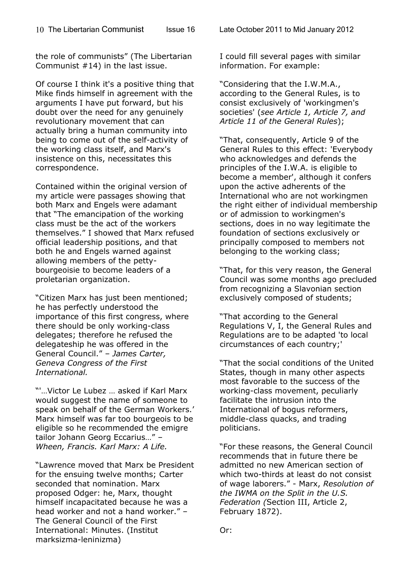the role of communists" (The Libertarian Communist #14) in the last issue.

Of course I think it's a positive thing that Mike finds himself in agreement with the arguments I have put forward, but his doubt over the need for any genuinely revolutionary movement that can actually bring a human community into being to come out of the self-activity of the working class itself, and Marx's insistence on this, necessitates this correspondence.

Contained within the original version of my article were passages showing that both Marx and Engels were adamant that "The emancipation of the working class must be the act of the workers themselves." I showed that Marx refused official leadership positions, and that both he and Engels warned against allowing members of the pettybourgeoisie to become leaders of a proletarian organization.

"Citizen Marx has just been mentioned; he has perfectly understood the importance of this first congress, where there should be only working-class delegates; therefore he refused the delegateship he was offered in the General Council." – *James Carter, Geneva Congress of the First International.*

"'…Victor Le Lubez … asked if Karl Marx would suggest the name of someone to speak on behalf of the German Workers.' Marx himself was far too bourgeois to be eligible so he recommended the emigre tailor Johann Georg Eccarius…" – *Wheen, Francis. Karl Marx: A Life.*

"Lawrence moved that Marx be President for the ensuing twelve months; Carter seconded that nomination. Marx proposed Odger: he, Marx, thought himself incapacitated because he was a head worker and not a hand worker." – The General Council of the First International: Minutes. (Institut marksizma-leninizma)

I could fill several pages with similar information. For example:

"Considering that the I.W.M.A., according to the General Rules, is to consist exclusively of 'workingmen's societies' (*see Article 1, Article 7, and Article 11 of the General Rules*);

"That, consequently, Article 9 of the General Rules to this effect: 'Everybody who acknowledges and defends the principles of the I.W.A. is eligible to become a member', although it confers upon the active adherents of the International who are not workingmen the right either of individual membership or of admission to workingmen's sections, does in no way legitimate the foundation of sections exclusively or principally composed to members not belonging to the working class;

"That, for this very reason, the General Council was some months ago precluded from recognizing a Slavonian section exclusively composed of students;

"That according to the General Regulations V, I, the General Rules and Regulations are to be adapted 'to local circumstances of each country;'

"That the social conditions of the United States, though in many other aspects most favorable to the success of the working-class movement, peculiarly facilitate the intrusion into the International of bogus reformers, middle-class quacks, and trading politicians.

"For these reasons, the General Council recommends that in future there be admitted no new American section of which two-thirds at least do not consist of wage laborers." - Marx, *Resolution of the IWMA on the Split in the U.S. Federation (*Section III, Article 2, February 1872).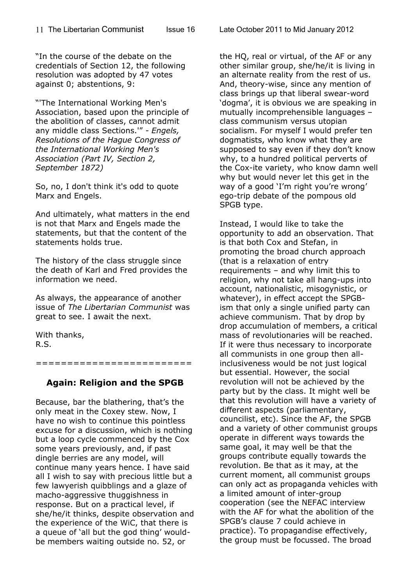"In the course of the debate on the credentials of Section 12, the following resolution was adopted by 47 votes against 0; abstentions, 9:

"'The International Working Men's Association, based upon the principle of the abolition of classes, cannot admit any middle class Sections.'" *- Engels, Resolutions of the Hague Congress of the International Working Men's Association (Part IV, Section 2, September 1872)* 

So, no, I don't think it's odd to quote Marx and Engels.

And ultimately, what matters in the end is not that Marx and Engels made the statements, but that the content of the statements holds true.

The history of the class struggle since the death of Karl and Fred provides the information we need.

As always, the appearance of another issue of *The Libertarian Communist* was great to see. I await the next.

With thanks, R.S.

=========================

#### **Again: Religion and the SPGB**

Because, bar the blathering, that's the only meat in the Coxey stew. Now, I have no wish to continue this pointless excuse for a discussion, which is nothing but a loop cycle commenced by the Cox some years previously, and, if past dingle berries are any model, will continue many years hence. I have said all I wish to say with precious little but a few lawyerish quibblings and a glaze of macho-aggressive thuggishness in response. But on a practical level, if she/he/it thinks, despite observation and the experience of the WiC, that there is a queue of 'all but the god thing' wouldbe members waiting outside no. 52, or

the HQ, real or virtual, of the AF or any other similar group, she/he/it is living in an alternate reality from the rest of us. And, theory-wise, since any mention of class brings up that liberal swear-word 'dogma', it is obvious we are speaking in mutually incomprehensible languages – class communism versus utopian socialism. For myself I would prefer ten dogmatists, who know what they are supposed to say even if they don't know why, to a hundred political perverts of the Cox-ite variety, who know damn well why but would never let this get in the way of a good 'I'm right you're wrong' ego-trip debate of the pompous old SPGB type.

Instead, I would like to take the opportunity to add an observation. That is that both Cox and Stefan, in promoting the broad church approach (that is a relaxation of entry requirements – and why limit this to religion, why not take all hang-ups into account, nationalistic, misogynistic, or whatever), in effect accept the SPGBism that only a single unified party can achieve communism. That by drop by drop accumulation of members, a critical mass of revolutionaries will be reached. If it were thus necessary to incorporate all communists in one group then allinclusiveness would be not just logical but essential. However, the social revolution will not be achieved by the party but by the class. It might well be that this revolution will have a variety of different aspects (parliamentary, councilist, etc). Since the AF, the SPGB and a variety of other communist groups operate in different ways towards the same goal, it may well be that the groups contribute equally towards the revolution. Be that as it may, at the current moment, all communist groups can only act as propaganda vehicles with a limited amount of inter-group cooperation (see the NEFAC interview with the AF for what the abolition of the SPGB's clause 7 could achieve in practice). To propagandise effectively, the group must be focussed. The broad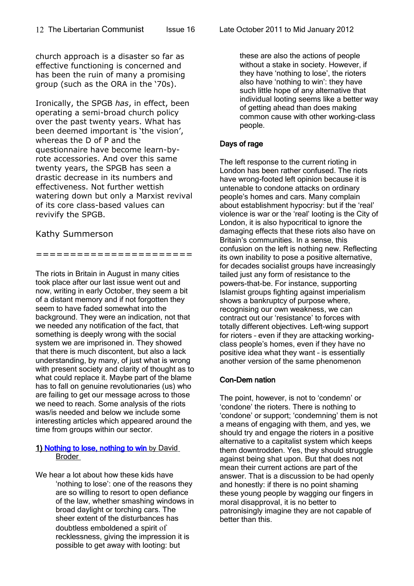church approach is a disaster so far as effective functioning is concerned and has been the ruin of many a promising group (such as the ORA in the '70s).

Ironically, the SPGB *has*, in effect, been operating a semi-broad church policy over the past twenty years. What has been deemed important is 'the vision', whereas the D of P and the questionnaire have become learn-byrote accessories. And over this same twenty years, the SPGB has seen a drastic decrease in its numbers and effectiveness. Not further wettish watering down but only a Marxist revival of its core class-based values can revivify the SPGB.

#### Kathy Summerson

=======================

The riots in Britain in August in many cities took place after our last issue went out and now, writing in early October, they seem a bit of a distant memory and if not forgotten they seem to have faded somewhat into the background. They were an indication, not that we needed any notification of the fact, that something is deeply wrong with the social system we are imprisoned in. They showed that there is much discontent, but also a lack understanding, by many, of just what is wrong with present society and clarity of thought as to what could replace it. Maybe part of the blame has to fall on genuine revolutionaries (us) who are failing to get our message across to those we need to reach. Some analysis of the riots was/is needed and below we include some interesting articles which appeared around the time from groups within our sector.

#### 1) [Nothing to lose, nothing to](http://thecommune.co.uk/2011/08/10/nothing-to-lose-nothing-to-win/) win by David Broder

We hear a lot about how these kids have 'nothing to lose': one of the reasons they are so willing to resort to open defiance of the law, whether smashing windows in broad daylight or torching cars. The sheer extent of the disturbances has doubtless emboldened a spirit of recklessness, giving the impression it is possible to get away with looting: but

these are also the actions of people without a stake in society. However, if they have 'nothing to lose', the rioters also have 'nothing to win': they have such little hope of any alternative that individual looting seems like a better way of getting ahead than does making common cause with other working-class people.

#### Days of rage

The left response to the current rioting in London has been rather confused. The riots have wrong-footed left opinion because it is untenable to condone attacks on ordinary people's homes and cars. Many complain about establishment hypocrisy: but if the 'real' violence is war or the 'real' looting is the City of London, it is also hypocritical to ignore the damaging effects that these riots also have on Britain's communities. In a sense, this confusion on the left is nothing new. Reflecting its own inability to pose a positive alternative, for decades socialist groups have increasingly tailed just any form of resistance to the powers-that-be. For instance, supporting Islamist groups fighting against imperialism shows a bankruptcy of purpose where, recognising our own weakness, we can contract out our 'resistance' to forces with totally different objectives. Left-wing support for rioters – even if they are attacking workingclass people's homes, even if they have no positive idea what they want – is essentially another version of the same phenomenon

#### Con-Dem nation

The point, however, is not to 'condemn' or 'condone' the rioters. There is nothing to 'condone' or support; 'condemning' them is not a means of engaging with them, and yes, we should try and engage the rioters in a positive alternative to a capitalist system which keeps them downtrodden. Yes, they should struggle against being shat upon. But that does not mean their current actions are part of the answer. That is a discussion to be had openly and honestly: if there is no point shaming these young people by wagging our fingers in moral disapproval, it is no better to patronisingly imagine they are not capable of better than this.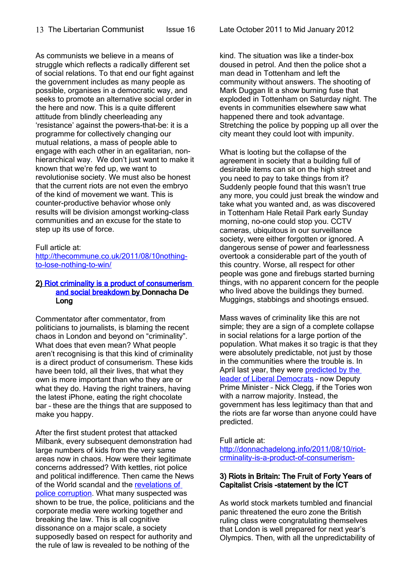As communists we believe in a means of struggle which reflects a radically different set of social relations. To that end our fight against the government includes as many people as possible, organises in a democratic way, and seeks to promote an alternative social order in the here and now. This is a quite different attitude from blindly cheerleading any 'resistance' against the powers-that-be: it is a programme for collectively changing our mutual relations, a mass of people able to engage with each other in an egalitarian, nonhierarchical way. We don't just want to make it known that we're fed up, we want to revolutionise society. We must also be honest that the current riots are not even the embryo of the kind of movement we want. This is counter-productive behavior whose only results will be division amongst working-class communities and an excuse for the state to step up its use of force.

#### Full article at:

[http://thecommune.co.uk/2011/08/10nothing](http://thecommune.co.uk/2011/08/10nothing-to-lose-nothing-to-win/)[to-lose-nothing-to-win/](http://thecommune.co.uk/2011/08/10nothing-to-lose-nothing-to-win/)

#### 2) [Riot criminality is a product of consumerism](http://donnachadelong.info/2011/08/10/riot-criminality-is-a-product-of-consumerism-and-social-breakdown/)   [and social breakdown](http://donnachadelong.info/2011/08/10/riot-criminality-is-a-product-of-consumerism-and-social-breakdown/) by Donnacha De Long

Commentator after commentator, from politicians to journalists, is blaming the recent chaos in London and beyond on "criminality". What does that even mean? What people aren't recognising is that this kind of criminality is a direct product of consumerism. These kids have been told, all their lives, that what they own is more important than who they are or what they do. Having the right trainers, having the latest iPhone, eating the right chocolate bar – these are the things that are supposed to make you happy.

After the first student protest that attacked Milbank, every subsequent demonstration had large numbers of kids from the very same areas now in chaos. How were their legitimate concerns addressed? With kettles, riot police and political indifference. Then came the News of the World scandal and the [revelations of](http://www.bloomberg.com/news/2011-07-27/u-k-police-corruption-may-exceed-small-number-of-officers-jones-says.html) [police corruption.](http://www.bloomberg.com/news/2011-07-27/u-k-police-corruption-may-exceed-small-number-of-officers-jones-says.html) What many suspected was shown to be true, the police, politicians and the corporate media were working together and breaking the law. This is all cognitive dissonance on a major scale, a society supposedly based on respect for authority and the rule of law is revealed to be nothing of the

kind. The situation was like a tinder-box doused in petrol. And then the police shot a man dead in Tottenham and left the community without answers. The shooting of Mark Duggan lit a show burning fuse that exploded in Tottenham on Saturday night. The events in communities elsewhere saw what happened there and took advantage. Stretching the police by popping up all over the city meant they could loot with impunity.

What is looting but the collapse of the agreement in society that a building full of desirable items can sit on the high street and you need to pay to take things from it? Suddenly people found that this wasn't true any more, you could just break the window and take what you wanted and, as was discovered in Tottenham Hale Retail Park early Sunday morning, no-one could stop you. CCTV cameras, ubiquitous in our surveillance society, were either forgotten or ignored. A dangerous sense of power and fearlessness overtook a considerable part of the youth of this country. Worse, all respect for other people was gone and firebugs started burning things, with no apparent concern for the people who lived above the buildings they burned. Muggings, stabbings and shootings ensued.

Mass waves of criminality like this are not simple; they are a sign of a complete collapse in social relations for a large portion of the population. What makes it so tragic is that they were absolutely predictable, not just by those in the communities where the trouble is. In April last year, they were [predicted by the](http://news.sky.com/home/politics/article/15599056) [leader of Liberal Democrats](http://news.sky.com/home/politics/article/15599056) – now Deputy Prime Minister – Nick Clegg, if the Tories won with a narrow majority. Instead, the government has less legitimacy than that and the riots are far worse than anyone could have predicted.

Full article at: [http://donnachadelong.info/2011/08/10/riot](http://donnachadelong.info/2011/08/10/riot-crminality-is-a-product-of-consumerism-)[crminality-is-a-product-of-consumerism-](http://donnachadelong.info/2011/08/10/riot-crminality-is-a-product-of-consumerism-)

#### 3) Riots in Britain: The Fruit of Forty Years of Capitalist Crisis -statement by the ICT

As world stock markets tumbled and financial panic threatened the euro zone the British ruling class were congratulating themselves that London is well prepared for next year's Olympics. Then, with all the unpredictability of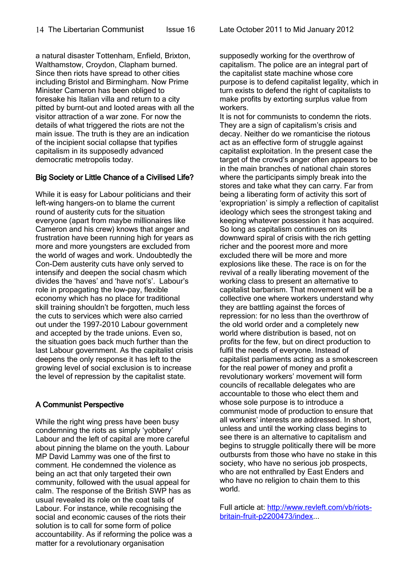a natural disaster Tottenham, Enfield, Brixton, Walthamstow, Croydon, Clapham burned. Since then riots have spread to other cities including Bristol and Birmingham. Now Prime Minister Cameron has been obliged to foresake his Italian villa and return to a city pitted by burnt-out and looted areas with all the visitor attraction of a war zone. For now the

details of what triggered the riots are not the main issue. The truth is they are an indication of the incipient social collapse that typifies capitalism in its supposedly advanced democratic metropolis today.

#### Big Society or Little Chance of a Civilised Life?

While it is easy for Labour politicians and their left-wing hangers-on to blame the current round of austerity cuts for the situation everyone (apart from maybe millionaires like Cameron and his crew) knows that anger and frustration have been running high for years as more and more youngsters are excluded from the world of wages and work. Undoubtedly the Con-Dem austerity cuts have only served to intensify and deepen the social chasm which divides the 'haves' and 'have not's'. Labour's role in propagating the low-pay, flexible economy which has no place for traditional skill training shouldn't be forgotten, much less the cuts to services which were also carried out under the 1997-2010 Labour government and accepted by the trade unions. Even so, the situation goes back much further than the last Labour government. As the capitalist crisis deepens the only response it has left to the growing level of social exclusion is to increase the level of repression by the capitalist state.

#### A Communist Perspective

While the right wing press have been busy condemning the riots as simply 'yobbery' Labour and the left of capital are more careful about pinning the blame on the youth. Labour MP David Lammy was one of the first to comment. He condemned the violence as being an act that only targeted their own community, followed with the usual appeal for calm. The response of the British SWP has as usual revealed its role on the coat tails of Labour. For instance, while recognising the social and economic causes of the riots their solution is to call for some form of police accountability. As if reforming the police was a matter for a revolutionary organisation

supposedly working for the overthrow of capitalism. The police are an integral part of the capitalist state machine whose core purpose is to defend capitalist legality, which in turn exists to defend the right of capitalists to make profits by extorting surplus value from workers.

It is not for communists to condemn the riots. They are a sign of capitalism's crisis and decay. Neither do we romanticise the riotous act as an effective form of struggle against capitalist exploitation. In the present case the target of the crowd's anger often appears to be in the main branches of national chain stores where the participants simply break into the stores and take what they can carry. Far from being a liberating form of activity this sort of 'expropriation' is simply a reflection of capitalist ideology which sees the strongest taking and keeping whatever possession it has acquired. So long as capitalism continues on its downward spiral of crisis with the rich getting richer and the poorest more and more excluded there will be more and more explosions like these. The race is on for the revival of a really liberating movement of the working class to present an alternative to capitalist barbarism. That movement will be a collective one where workers understand why they are battling against the forces of repression: for no less than the overthrow of the old world order and a completely new world where distribution is based, not on profits for the few, but on direct production to fulfil the needs of everyone. Instead of capitalist parliaments acting as a smokescreen for the real power of money and profit a revolutionary workers' movement will form councils of recallable delegates who are accountable to those who elect them and whose sole purpose is to introduce a communist mode of production to ensure that all workers' interests are addressed. In short, unless and until the working class begins to see there is an alternative to capitalism and begins to struggle politically there will be more outbursts from those who have no stake in this society, who have no serious job prospects, who are not enthralled by East Enders and who have no religion to chain them to this world.

Full article at: [http://www.revleft.com/vb/riots](http://www.revleft.com/vb/riots-britain-fruit-p2200473/index)[britain-fruit-p2200473/index.](http://www.revleft.com/vb/riots-britain-fruit-p2200473/index)..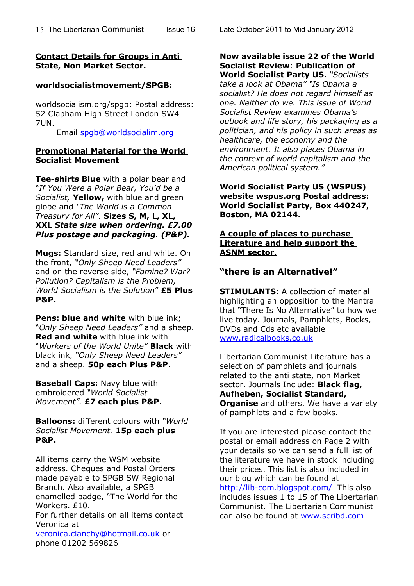#### **Contact Details for Groups in Anti State, Non Market Sector.**

#### **worldsocialistmovement/SPGB:**

worldsocialism.org/spgb: Postal address: 52 Clapham High Street London SW4 7UN.

Email [spgb@worldsocialim.org](mailto:spgb@worldsocialim.org)

#### **Promotional Material for the World Socialist Movement**

**Tee-shirts Blue** with a polar bear and "*If You Were a Polar Bear, You'd be a Socialist,* **Yellow,** with blue and green globe and *"The World is a Common Treasury for All"*. **Sizes S, M, L, XL, XXL** *State size when ordering. £7.00 Plus postage and packaging. (P&P).*

**Mugs:** Standard size, red and white. On the front, *"Only Sheep Need Leaders"* and on the reverse side, *"Famine? War? Pollution? Capitalism is the Problem, World Socialism is the Solution*" **£5 Plus P&P.**

**Pens: blue and white** with blue ink: "*Only Sheep Need Leaders"* and a sheep. **Red and white** with blue ink with "*Workers of the World Unite"* **Black** with black ink, *"Only Sheep Need Leaders"* and a sheep. **50p each Plus P&P.**

**Baseball Caps:** Navy blue with embroidered *"World Socialist Movement".* **£7 each plus P&P.**

**Balloons:** different colours with *"World Socialist Movement.* **15p each plus P&P.**

All items carry the WSM website address. Cheques and Postal Orders made payable to SPGB SW Regional Branch. Also available, a SPGB enamelled badge, "The World for the Workers. £10.

For further details on all items contact Veronica at

[veronica.clanchy@hotmail.co.uk](mailto:veronica.clanchy@hotmail.co.uk) or phone 01202 569826

Issue 16 Late October 2011 to Mid January 2012

#### **Now available issue 22 of the World Socialist Review**: **Publication of World Socialist Party US.** *"Socialists take a look at Obama" "Is Obama a*

*socialist? He does not regard himself as one. Neither do we. This issue of World Socialist Review examines Obama's outlook and life story, his packaging as a politician, and his policy in such areas as healthcare, the economy and the environment. It also places Obama in the context of world capitalism and the American political system."*

**World Socialist Party US (WSPUS) website wspus.org Postal address: World Socialist Party, Box 440247, Boston, MA 02144.**

#### **A couple of places to purchase Literature and help support the ASNM sector.**

#### **"there is an Alternative!"**

**STIMULANTS:** A collection of material highlighting an opposition to the Mantra that "There Is No Alternative" to how we live today. Journals, Pamphlets, Books, DVDs and Cds etc available [www.radicalbooks.co.uk](http://www.radicalbooks.co.uk/)

Libertarian Communist Literature has a selection of pamphlets and journals related to the anti state, non Market sector. Journals Include: **Black flag, Aufheben, Socialist Standard, Organise** and others. We have a variety of pamphlets and a few books.

If you are interested please contact the postal or email address on Page 2 with your details so we can send a full list of the literature we have in stock including their prices. This list is also included in our blog which can be found at <http://lib-com.blogspot.com/>This also includes issues 1 to 15 of The Libertarian Communist. The Libertarian Communist can also be found at [www.scribd.com](http://www.scribd.com/)